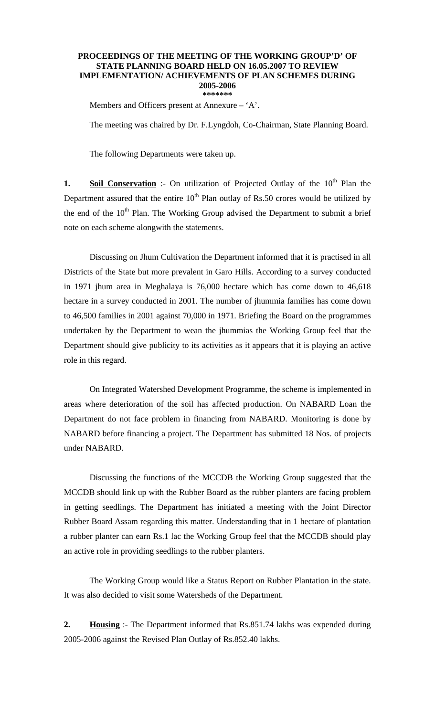## **PROCEEDINGS OF THE MEETING OF THE WORKING GROUP'D' OF STATE PLANNING BOARD HELD ON 16.05.2007 TO REVIEW IMPLEMENTATION/ ACHIEVEMENTS OF PLAN SCHEMES DURING 2005-2006 \*\*\*\*\*\*\***

Members and Officers present at Annexure – 'A'.

The meeting was chaired by Dr. F.Lyngdoh, Co-Chairman, State Planning Board.

The following Departments were taken up.

**1. Soil Conservation** :- On utilization of Projected Outlay of the 10<sup>th</sup> Plan the Department assured that the entire  $10<sup>th</sup>$  Plan outlay of Rs.50 crores would be utilized by the end of the  $10<sup>th</sup>$  Plan. The Working Group advised the Department to submit a brief note on each scheme alongwith the statements.

 Discussing on Jhum Cultivation the Department informed that it is practised in all Districts of the State but more prevalent in Garo Hills. According to a survey conducted in 1971 jhum area in Meghalaya is 76,000 hectare which has come down to 46,618 hectare in a survey conducted in 2001. The number of jhummia families has come down to 46,500 families in 2001 against 70,000 in 1971. Briefing the Board on the programmes undertaken by the Department to wean the jhummias the Working Group feel that the Department should give publicity to its activities as it appears that it is playing an active role in this regard.

 On Integrated Watershed Development Programme, the scheme is implemented in areas where deterioration of the soil has affected production. On NABARD Loan the Department do not face problem in financing from NABARD. Monitoring is done by NABARD before financing a project. The Department has submitted 18 Nos. of projects under NABARD.

 Discussing the functions of the MCCDB the Working Group suggested that the MCCDB should link up with the Rubber Board as the rubber planters are facing problem in getting seedlings. The Department has initiated a meeting with the Joint Director Rubber Board Assam regarding this matter. Understanding that in 1 hectare of plantation a rubber planter can earn Rs.1 lac the Working Group feel that the MCCDB should play an active role in providing seedlings to the rubber planters.

 The Working Group would like a Status Report on Rubber Plantation in the state. It was also decided to visit some Watersheds of the Department.

**2. Housing** :- The Department informed that Rs.851.74 lakhs was expended during 2005-2006 against the Revised Plan Outlay of Rs.852.40 lakhs.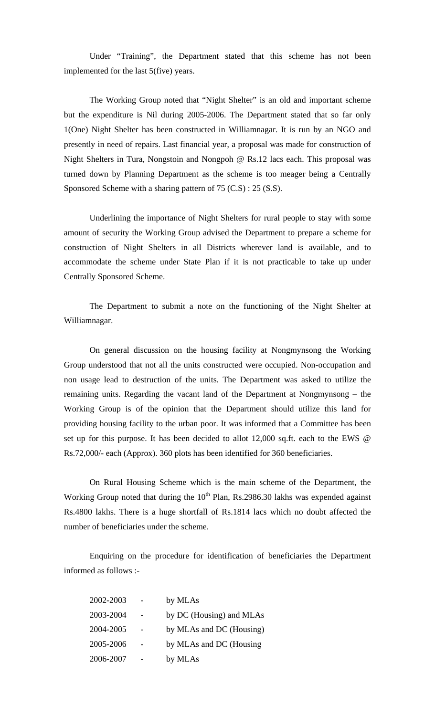Under "Training", the Department stated that this scheme has not been implemented for the last 5(five) years.

 The Working Group noted that "Night Shelter" is an old and important scheme but the expenditure is Nil during 2005-2006. The Department stated that so far only 1(One) Night Shelter has been constructed in Williamnagar. It is run by an NGO and presently in need of repairs. Last financial year, a proposal was made for construction of Night Shelters in Tura, Nongstoin and Nongpoh @ Rs.12 lacs each. This proposal was turned down by Planning Department as the scheme is too meager being a Centrally Sponsored Scheme with a sharing pattern of 75 (C.S) : 25 (S.S).

 Underlining the importance of Night Shelters for rural people to stay with some amount of security the Working Group advised the Department to prepare a scheme for construction of Night Shelters in all Districts wherever land is available, and to accommodate the scheme under State Plan if it is not practicable to take up under Centrally Sponsored Scheme.

 The Department to submit a note on the functioning of the Night Shelter at Williamnagar.

 On general discussion on the housing facility at Nongmynsong the Working Group understood that not all the units constructed were occupied. Non-occupation and non usage lead to destruction of the units. The Department was asked to utilize the remaining units. Regarding the vacant land of the Department at Nongmynsong – the Working Group is of the opinion that the Department should utilize this land for providing housing facility to the urban poor. It was informed that a Committee has been set up for this purpose. It has been decided to allot 12,000 sq.ft. each to the EWS @ Rs.72,000/- each (Approx). 360 plots has been identified for 360 beneficiaries.

 On Rural Housing Scheme which is the main scheme of the Department, the Working Group noted that during the  $10<sup>th</sup>$  Plan, Rs.2986.30 lakhs was expended against Rs.4800 lakhs. There is a huge shortfall of Rs.1814 lacs which no doubt affected the number of beneficiaries under the scheme.

 Enquiring on the procedure for identification of beneficiaries the Department informed as follows :-

| 2002-2003 | by MLAs                  |
|-----------|--------------------------|
| 2003-2004 | by DC (Housing) and MLAs |
| 2004-2005 | by MLAs and DC (Housing) |
| 2005-2006 | by MLAs and DC (Housing  |
| 2006-2007 | by MLAs                  |